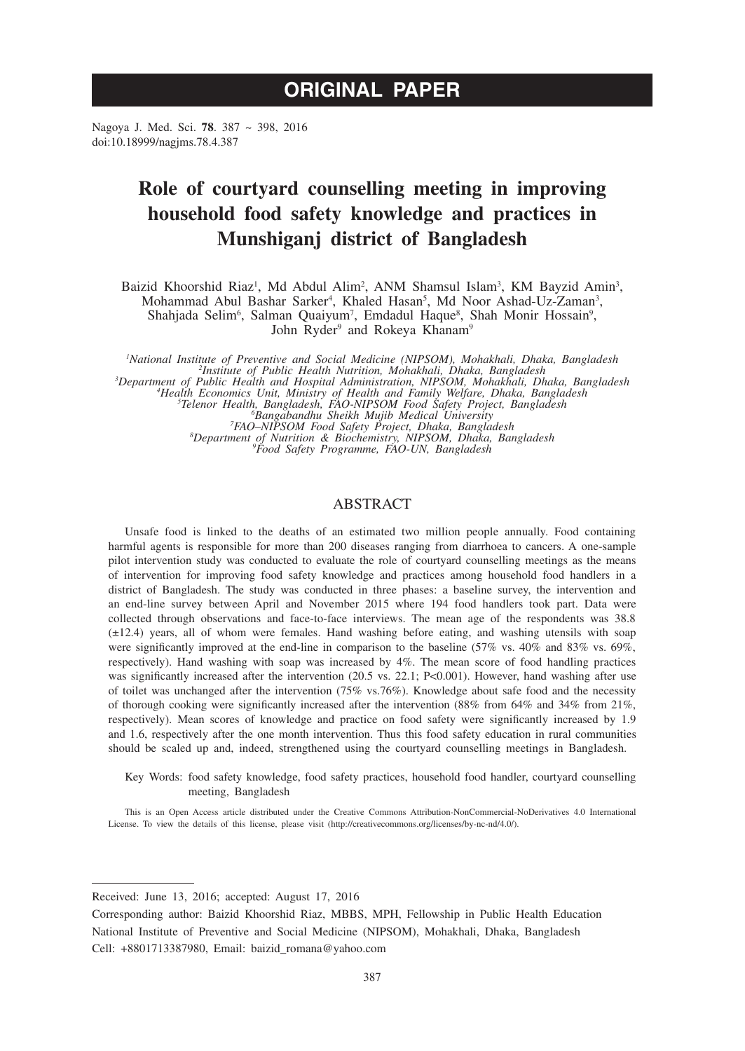# **ORIGINAL PAPER**

Nagoya J. Med. Sci. **78**. 387 ~ 398, 2016 doi:10.18999/nagjms.78.4.387

# **Role of courtyard counselling meeting in improving household food safety knowledge and practices in Munshiganj district of Bangladesh**

Baizid Khoorshid Riaz<sup>1</sup>, Md Abdul Alim<sup>2</sup>, ANM Shamsul Islam<sup>3</sup>, KM Bayzid Amin<sup>3</sup>, Mohammad Abul Bashar Sarker<sup>4</sup>, Khaled Hasan<sup>5</sup>, Md Noor Ashad-Uz-Zaman<sup>3</sup>, Shahjada Selim<sup>6</sup>, Salman Quaiyum<sup>7</sup>, Emdadul Haque<sup>8</sup>, Shah Monir Hossain<sup>9</sup>, John Ryder<sup>9</sup> and Rokeya Khanam<sup>9</sup>

*1 National Institute of Preventive and Social Medicine (NIPSOM), Mohakhali, Dhaka, Bangladesh <sup>2</sup> Institute of Public Health Nutrition, Mohakhali, Dhaka, Bangladesh <sup>3</sup>* Department of Public Health and Hospital Administration, NIPSOM, Mohakhali, Dhaka, Bangladesh<br>
<sup>4</sup>Health Economics Unit, Ministry of Health and Family Welfare, Dhaka, Bangladesh<br>
<sup>5</sup>Telenor Health, Bangladesh, FAO-NIPSOM F *Bangabandhu Sheikh Mujib Medical University <sup>7</sup> FAO–NIPSOM Food Safety Project, Dhaka, Bangladesh <sup>8</sup> Department of Nutrition & Biochemistry, NIPSOM, Dhaka, Bangladesh <sup>9</sup> Food Safety Programme, FAO-UN, Bangladesh*

## ABSTRACT

Unsafe food is linked to the deaths of an estimated two million people annually. Food containing harmful agents is responsible for more than 200 diseases ranging from diarrhoea to cancers. A one-sample pilot intervention study was conducted to evaluate the role of courtyard counselling meetings as the means of intervention for improving food safety knowledge and practices among household food handlers in a district of Bangladesh. The study was conducted in three phases: a baseline survey, the intervention and an end-line survey between April and November 2015 where 194 food handlers took part. Data were collected through observations and face-to-face interviews. The mean age of the respondents was 38.8 (±12.4) years, all of whom were females. Hand washing before eating, and washing utensils with soap were significantly improved at the end-line in comparison to the baseline (57% vs. 40% and 83% vs. 69%, respectively). Hand washing with soap was increased by 4%. The mean score of food handling practices was significantly increased after the intervention (20.5 vs. 22.1; P<0.001). However, hand washing after use of toilet was unchanged after the intervention (75% vs.76%). Knowledge about safe food and the necessity of thorough cooking were significantly increased after the intervention (88% from 64% and 34% from 21%, respectively). Mean scores of knowledge and practice on food safety were significantly increased by 1.9 and 1.6, respectively after the one month intervention. Thus this food safety education in rural communities should be scaled up and, indeed, strengthened using the courtyard counselling meetings in Bangladesh.

Key Words: food safety knowledge, food safety practices, household food handler, courtyard counselling meeting, Bangladesh

This is an Open Access article distributed under the Creative Commons Attribution-NonCommercial-NoDerivatives 4.0 International License. To view the details of this license, please visit (http://creativecommons.org/licenses/by-nc-nd/4.0/).

Received: June 13, 2016; accepted: August 17, 2016

Corresponding author: Baizid Khoorshid Riaz, MBBS, MPH, Fellowship in Public Health Education National Institute of Preventive and Social Medicine (NIPSOM), Mohakhali, Dhaka, Bangladesh Cell: +8801713387980, Email: baizid\_romana@yahoo.com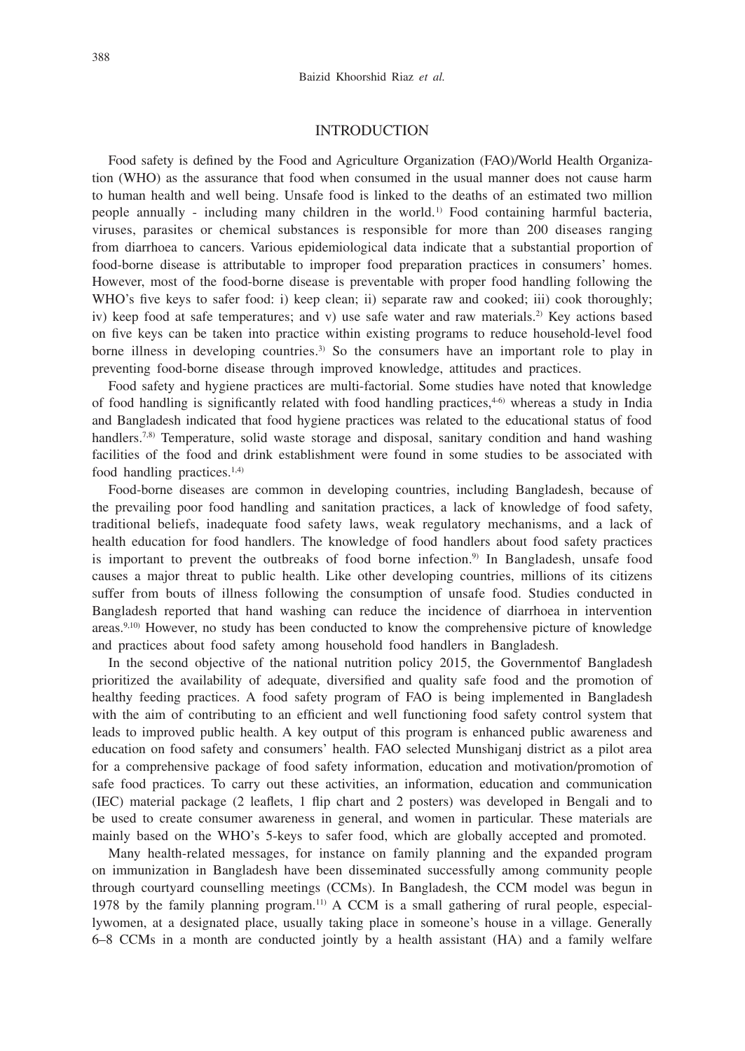## INTRODUCTION

Food safety is defined by the Food and Agriculture Organization (FAO)/World Health Organization (WHO) as the assurance that food when consumed in the usual manner does not cause harm to human health and well being. Unsafe food is linked to the deaths of an estimated two million people annually - including many children in the world.<sup>1)</sup> Food containing harmful bacteria, viruses, parasites or chemical substances is responsible for more than 200 diseases ranging from diarrhoea to cancers. Various epidemiological data indicate that a substantial proportion of food-borne disease is attributable to improper food preparation practices in consumers' homes. However, most of the food-borne disease is preventable with proper food handling following the WHO's five keys to safer food: i) keep clean; ii) separate raw and cooked; iii) cook thoroughly; iv) keep food at safe temperatures; and v) use safe water and raw materials.<sup>2)</sup> Key actions based on five keys can be taken into practice within existing programs to reduce household-level food borne illness in developing countries.<sup>3)</sup> So the consumers have an important role to play in preventing food-borne disease through improved knowledge, attitudes and practices.

Food safety and hygiene practices are multi-factorial. Some studies have noted that knowledge of food handling is significantly related with food handling practices,<sup>46)</sup> whereas a study in India and Bangladesh indicated that food hygiene practices was related to the educational status of food handlers.<sup>7,8)</sup> Temperature, solid waste storage and disposal, sanitary condition and hand washing facilities of the food and drink establishment were found in some studies to be associated with food handling practices. $1,4$ )

Food-borne diseases are common in developing countries, including Bangladesh, because of the prevailing poor food handling and sanitation practices, a lack of knowledge of food safety, traditional beliefs, inadequate food safety laws, weak regulatory mechanisms, and a lack of health education for food handlers. The knowledge of food handlers about food safety practices is important to prevent the outbreaks of food borne infection.<sup>9)</sup> In Bangladesh, unsafe food causes a major threat to public health. Like other developing countries, millions of its citizens suffer from bouts of illness following the consumption of unsafe food. Studies conducted in Bangladesh reported that hand washing can reduce the incidence of diarrhoea in intervention areas.<sup>9,10)</sup> However, no study has been conducted to know the comprehensive picture of knowledge and practices about food safety among household food handlers in Bangladesh.

In the second objective of the national nutrition policy 2015, the Governmentof Bangladesh prioritized the availability of adequate, diversified and quality safe food and the promotion of healthy feeding practices. A food safety program of FAO is being implemented in Bangladesh with the aim of contributing to an efficient and well functioning food safety control system that leads to improved public health. A key output of this program is enhanced public awareness and education on food safety and consumers' health. FAO selected Munshiganj district as a pilot area for a comprehensive package of food safety information, education and motivation/promotion of safe food practices. To carry out these activities, an information, education and communication (IEC) material package (2 leaflets, 1 flip chart and 2 posters) was developed in Bengali and to be used to create consumer awareness in general, and women in particular. These materials are mainly based on the WHO's 5-keys to safer food, which are globally accepted and promoted.

Many health-related messages, for instance on family planning and the expanded program on immunization in Bangladesh have been disseminated successfully among community people through courtyard counselling meetings (CCMs). In Bangladesh, the CCM model was begun in 1978 by the family planning program.11) A CCM is a small gathering of rural people, especiallywomen, at a designated place, usually taking place in someone's house in a village. Generally 6–8 CCMs in a month are conducted jointly by a health assistant (HA) and a family welfare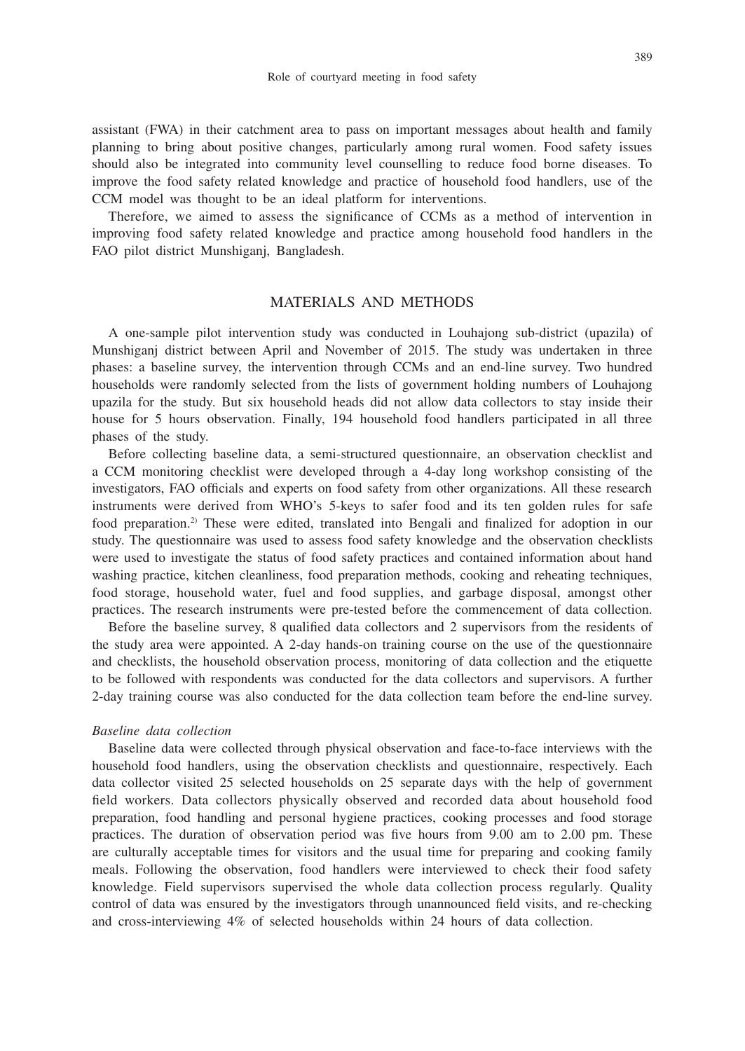assistant (FWA) in their catchment area to pass on important messages about health and family planning to bring about positive changes, particularly among rural women. Food safety issues should also be integrated into community level counselling to reduce food borne diseases. To improve the food safety related knowledge and practice of household food handlers, use of the CCM model was thought to be an ideal platform for interventions.

Therefore, we aimed to assess the significance of CCMs as a method of intervention in improving food safety related knowledge and practice among household food handlers in the FAO pilot district Munshiganj, Bangladesh.

# MATERIALS AND METHODS

A one-sample pilot intervention study was conducted in Louhajong sub-district (upazila) of Munshiganj district between April and November of 2015. The study was undertaken in three phases: a baseline survey, the intervention through CCMs and an end-line survey. Two hundred households were randomly selected from the lists of government holding numbers of Louhajong upazila for the study. But six household heads did not allow data collectors to stay inside their house for 5 hours observation. Finally, 194 household food handlers participated in all three phases of the study.

Before collecting baseline data, a semi-structured questionnaire, an observation checklist and a CCM monitoring checklist were developed through a 4-day long workshop consisting of the investigators, FAO officials and experts on food safety from other organizations. All these research instruments were derived from WHO's 5-keys to safer food and its ten golden rules for safe food preparation.2) These were edited, translated into Bengali and finalized for adoption in our study. The questionnaire was used to assess food safety knowledge and the observation checklists were used to investigate the status of food safety practices and contained information about hand washing practice, kitchen cleanliness, food preparation methods, cooking and reheating techniques, food storage, household water, fuel and food supplies, and garbage disposal, amongst other practices. The research instruments were pre-tested before the commencement of data collection.

Before the baseline survey, 8 qualified data collectors and 2 supervisors from the residents of the study area were appointed. A 2-day hands-on training course on the use of the questionnaire and checklists, the household observation process, monitoring of data collection and the etiquette to be followed with respondents was conducted for the data collectors and supervisors. A further 2-day training course was also conducted for the data collection team before the end-line survey.

#### *Baseline data collection*

Baseline data were collected through physical observation and face-to-face interviews with the household food handlers, using the observation checklists and questionnaire, respectively. Each data collector visited 25 selected households on 25 separate days with the help of government field workers. Data collectors physically observed and recorded data about household food preparation, food handling and personal hygiene practices, cooking processes and food storage practices. The duration of observation period was five hours from 9.00 am to 2.00 pm. These are culturally acceptable times for visitors and the usual time for preparing and cooking family meals. Following the observation, food handlers were interviewed to check their food safety knowledge. Field supervisors supervised the whole data collection process regularly. Quality control of data was ensured by the investigators through unannounced field visits, and re-checking and cross-interviewing 4% of selected households within 24 hours of data collection.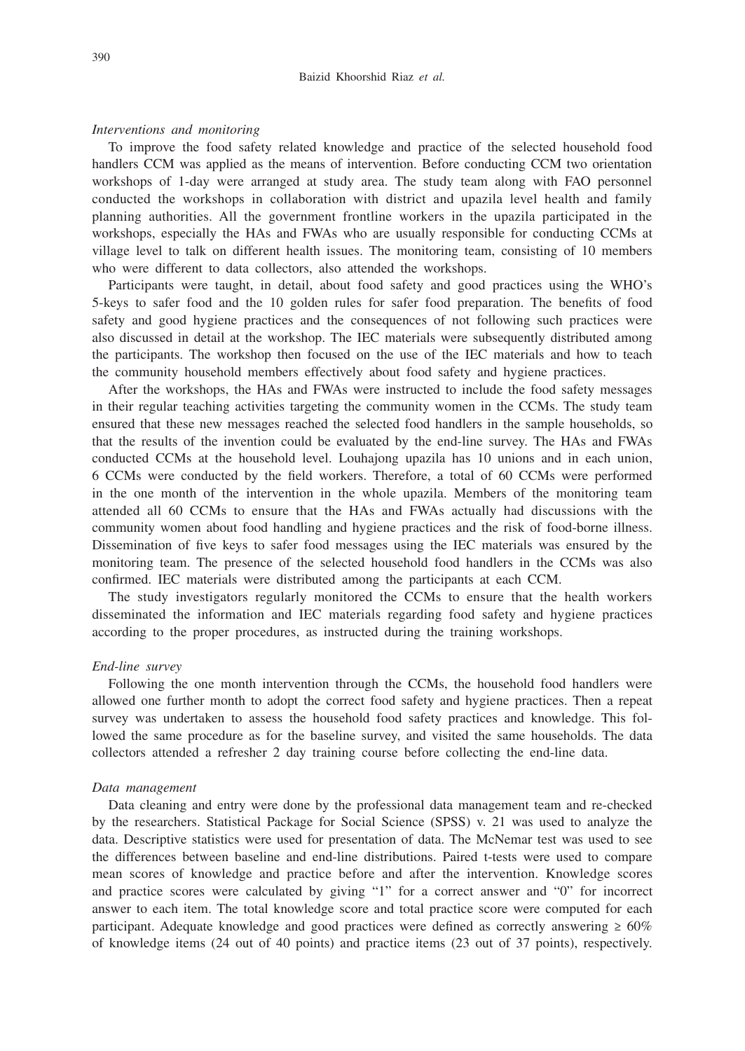### *Interventions and monitoring*

To improve the food safety related knowledge and practice of the selected household food handlers CCM was applied as the means of intervention. Before conducting CCM two orientation workshops of 1-day were arranged at study area. The study team along with FAO personnel conducted the workshops in collaboration with district and upazila level health and family planning authorities. All the government frontline workers in the upazila participated in the workshops, especially the HAs and FWAs who are usually responsible for conducting CCMs at village level to talk on different health issues. The monitoring team, consisting of 10 members who were different to data collectors, also attended the workshops.

Participants were taught, in detail, about food safety and good practices using the WHO's 5-keys to safer food and the 10 golden rules for safer food preparation. The benefits of food safety and good hygiene practices and the consequences of not following such practices were also discussed in detail at the workshop. The IEC materials were subsequently distributed among the participants. The workshop then focused on the use of the IEC materials and how to teach the community household members effectively about food safety and hygiene practices.

After the workshops, the HAs and FWAs were instructed to include the food safety messages in their regular teaching activities targeting the community women in the CCMs. The study team ensured that these new messages reached the selected food handlers in the sample households, so that the results of the invention could be evaluated by the end-line survey. The HAs and FWAs conducted CCMs at the household level. Louhajong upazila has 10 unions and in each union, 6 CCMs were conducted by the field workers. Therefore, a total of 60 CCMs were performed in the one month of the intervention in the whole upazila. Members of the monitoring team attended all 60 CCMs to ensure that the HAs and FWAs actually had discussions with the community women about food handling and hygiene practices and the risk of food-borne illness. Dissemination of five keys to safer food messages using the IEC materials was ensured by the monitoring team. The presence of the selected household food handlers in the CCMs was also confirmed. IEC materials were distributed among the participants at each CCM.

The study investigators regularly monitored the CCMs to ensure that the health workers disseminated the information and IEC materials regarding food safety and hygiene practices according to the proper procedures, as instructed during the training workshops.

### *End-line survey*

Following the one month intervention through the CCMs, the household food handlers were allowed one further month to adopt the correct food safety and hygiene practices. Then a repeat survey was undertaken to assess the household food safety practices and knowledge. This followed the same procedure as for the baseline survey, and visited the same households. The data collectors attended a refresher 2 day training course before collecting the end-line data.

#### *Data management*

Data cleaning and entry were done by the professional data management team and re-checked by the researchers. Statistical Package for Social Science (SPSS) v. 21 was used to analyze the data. Descriptive statistics were used for presentation of data. The McNemar test was used to see the differences between baseline and end-line distributions. Paired t-tests were used to compare mean scores of knowledge and practice before and after the intervention. Knowledge scores and practice scores were calculated by giving "1" for a correct answer and "0" for incorrect answer to each item. The total knowledge score and total practice score were computed for each participant. Adequate knowledge and good practices were defined as correctly answering  $\geq 60\%$ of knowledge items (24 out of 40 points) and practice items (23 out of 37 points), respectively.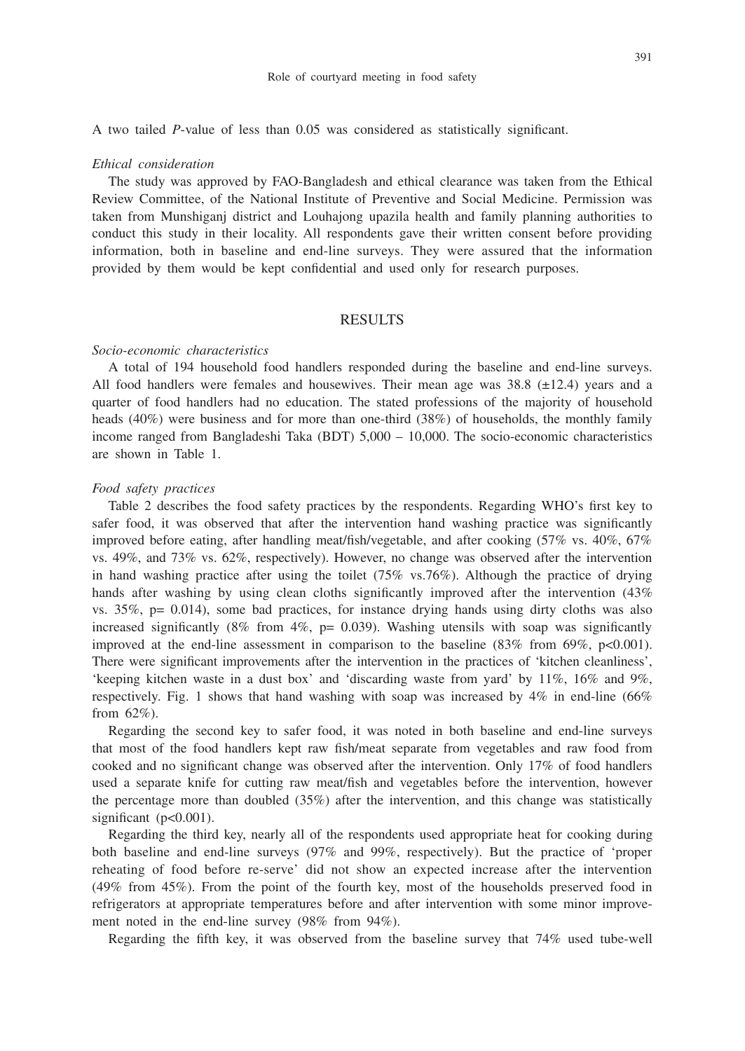A two tailed *P*-value of less than 0.05 was considered as statistically significant.

#### *Ethical consideration*

The study was approved by FAO-Bangladesh and ethical clearance was taken from the Ethical Review Committee, of the National Institute of Preventive and Social Medicine. Permission was taken from Munshiganj district and Louhajong upazila health and family planning authorities to conduct this study in their locality. All respondents gave their written consent before providing information, both in baseline and end-line surveys. They were assured that the information provided by them would be kept confidential and used only for research purposes.

## **RESULTS**

#### *Socio-economic characteristics*

A total of 194 household food handlers responded during the baseline and end-line surveys. All food handlers were females and housewives. Their mean age was  $38.8 \text{ (+12.4)}$  years and a quarter of food handlers had no education. The stated professions of the majority of household heads (40%) were business and for more than one-third (38%) of households, the monthly family income ranged from Bangladeshi Taka (BDT) 5,000 – 10,000. The socio-economic characteristics are shown in Table 1.

### *Food safety practices*

Table 2 describes the food safety practices by the respondents. Regarding WHO's first key to safer food, it was observed that after the intervention hand washing practice was significantly improved before eating, after handling meat/fish/vegetable, and after cooking (57% vs. 40%, 67% vs. 49%, and 73% vs. 62%, respectively). However, no change was observed after the intervention in hand washing practice after using the toilet (75% vs.76%). Although the practice of drying hands after washing by using clean cloths significantly improved after the intervention  $(43\%$ vs.  $35\%$ ,  $p= 0.014$ ), some bad practices, for instance drying hands using dirty cloths was also increased significantly  $(8\%$  from  $4\%$ ,  $p= 0.039$ ). Washing utensils with soap was significantly improved at the end-line assessment in comparison to the baseline  $(83\%$  from 69%, p<0.001). There were significant improvements after the intervention in the practices of 'kitchen cleanliness', 'keeping kitchen waste in a dust box' and 'discarding waste from yard' by 11%, 16% and 9%, respectively. Fig. 1 shows that hand washing with soap was increased by  $4\%$  in end-line (66%) from 62%).

Regarding the second key to safer food, it was noted in both baseline and end-line surveys that most of the food handlers kept raw fish/meat separate from vegetables and raw food from cooked and no significant change was observed after the intervention. Only 17% of food handlers used a separate knife for cutting raw meat/fish and vegetables before the intervention, however the percentage more than doubled (35%) after the intervention, and this change was statistically significant (p<0.001).

Regarding the third key, nearly all of the respondents used appropriate heat for cooking during both baseline and end-line surveys (97% and 99%, respectively). But the practice of 'proper reheating of food before re-serve' did not show an expected increase after the intervention (49% from 45%). From the point of the fourth key, most of the households preserved food in refrigerators at appropriate temperatures before and after intervention with some minor improvement noted in the end-line survey (98% from 94%).

Regarding the fifth key, it was observed from the baseline survey that 74% used tube-well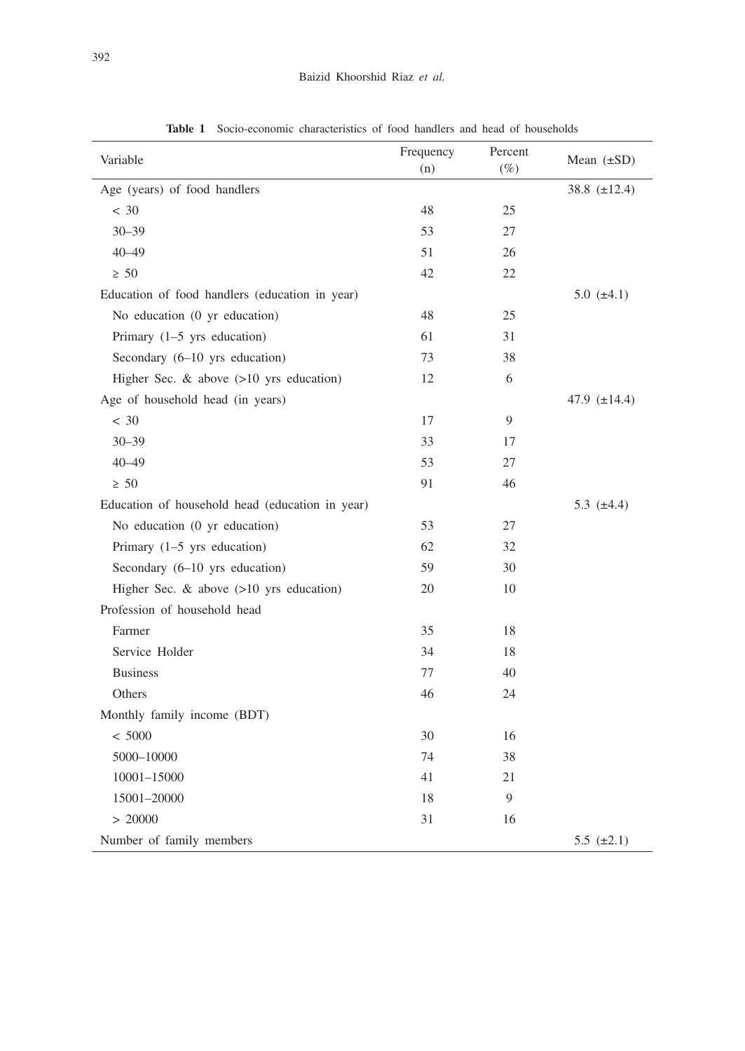| Variable                                        | Frequency<br>(n) | Percent<br>$(\%)$ | Mean $(\pm SD)$   |
|-------------------------------------------------|------------------|-------------------|-------------------|
| Age (years) of food handlers                    |                  |                   | 38.8 $(\pm 12.4)$ |
| < 30                                            | 48               | 25                |                   |
| $30 - 39$                                       | 53               | 27                |                   |
| $40 - 49$                                       | 51               | 26                |                   |
| $\geq 50$                                       | 42               | 22                |                   |
| Education of food handlers (education in year)  |                  |                   | 5.0 $(\pm 4.1)$   |
| No education (0 yr education)                   | 48               | 25                |                   |
| Primary $(1-5$ yrs education)                   | 61               | 31                |                   |
| Secondary (6-10 yrs education)                  | 73               | 38                |                   |
| Higher Sec. & above $(>10$ yrs education)       | 12               | 6                 |                   |
| Age of household head (in years)                |                  |                   | 47.9 $(\pm 14.4)$ |
| < 30                                            | 17               | 9                 |                   |
| $30 - 39$                                       | 33               | 17                |                   |
| $40 - 49$                                       | 53               | 27                |                   |
| $\geq 50$                                       | 91               | 46                |                   |
| Education of household head (education in year) |                  |                   | 5.3 $(\pm 4.4)$   |
| No education (0 yr education)                   | 53               | 27                |                   |
| Primary $(1-5$ yrs education)                   | 62               | 32                |                   |
| Secondary (6-10 yrs education)                  | 59               | 30                |                   |
| Higher Sec. $\&$ above $(>10$ yrs education)    | 20               | 10                |                   |
| Profession of household head                    |                  |                   |                   |
| Farmer                                          | 35               | 18                |                   |
| Service Holder                                  | 34               | 18                |                   |
| <b>Business</b>                                 | 77               | 40                |                   |
| Others                                          | 46               | 24                |                   |
| Monthly family income (BDT)                     |                  |                   |                   |
| < 5000                                          | 30               | 16                |                   |
| 5000-10000                                      | 74               | 38                |                   |
| 10001-15000                                     | 41               | 21                |                   |
| 15001-20000                                     | 18               | 9                 |                   |
| > 20000                                         | 31               | 16                |                   |
| Number of family members                        |                  |                   | 5.5 $(\pm 2.1)$   |

**Table 1** Socio-economic characteristics of food handlers and head of households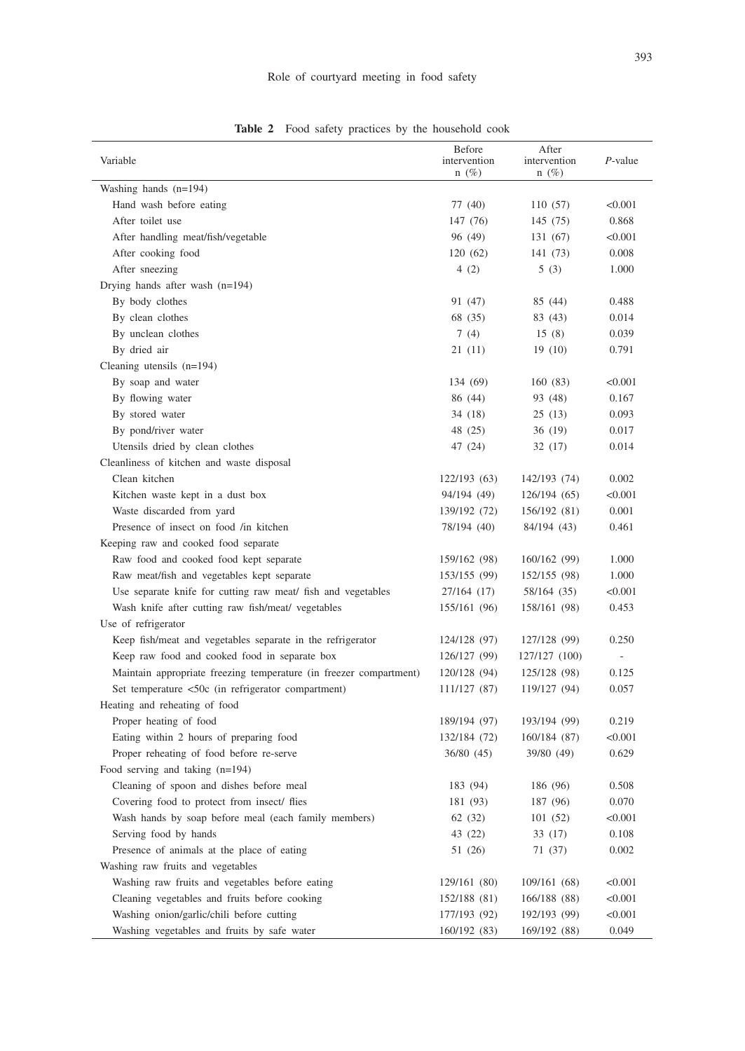# Role of courtyard meeting in food safety

| Variable                                                           | <b>Before</b><br>intervention<br>$n(\%)$ | After<br>intervention<br>$n(\%)$ | P-value |
|--------------------------------------------------------------------|------------------------------------------|----------------------------------|---------|
| Washing hands $(n=194)$                                            |                                          |                                  |         |
| Hand wash before eating                                            | 77 (40)                                  | 110 (57)                         | < 0.001 |
| After toilet use                                                   | 147 (76)                                 | 145 (75)                         | 0.868   |
| After handling meat/fish/vegetable                                 | 96 (49)                                  | 131 (67)                         | < 0.001 |
| After cooking food                                                 | 120(62)                                  | 141 (73)                         | 0.008   |
| After sneezing                                                     | 4(2)                                     | 5(3)                             | 1.000   |
| Drying hands after wash (n=194)                                    |                                          |                                  |         |
| By body clothes                                                    | 91 (47)                                  | 85 (44)                          | 0.488   |
| By clean clothes                                                   | 68 (35)                                  | 83 (43)                          | 0.014   |
| By unclean clothes                                                 | 7(4)                                     | 15(8)                            | 0.039   |
| By dried air                                                       | 21 (11)                                  | 19 (10)                          | 0.791   |
| Cleaning utensils $(n=194)$                                        |                                          |                                  |         |
| By soap and water                                                  | 134 (69)                                 | 160 (83)                         | < 0.001 |
| By flowing water                                                   | 86 (44)                                  | 93 (48)                          | 0.167   |
| By stored water                                                    | 34 (18)                                  | 25(13)                           | 0.093   |
| By pond/river water                                                | 48 (25)                                  | 36 (19)                          | 0.017   |
| Utensils dried by clean clothes                                    | 47 (24)                                  | 32 (17)                          | 0.014   |
| Cleanliness of kitchen and waste disposal                          |                                          |                                  |         |
| Clean kitchen                                                      | 122/193 (63)                             | 142/193 (74)                     | 0.002   |
| Kitchen waste kept in a dust box                                   | 94/194 (49)                              | 126/194 (65)                     | < 0.001 |
| Waste discarded from yard                                          | 139/192 (72)                             | 156/192 (81)                     | 0.001   |
| Presence of insect on food /in kitchen                             | 78/194 (40)                              | 84/194 (43)                      | 0.461   |
| Keeping raw and cooked food separate                               |                                          |                                  |         |
| Raw food and cooked food kept separate                             | 159/162 (98)                             | 160/162 (99)                     | 1.000   |
| Raw meat/fish and vegetables kept separate                         | 153/155 (99)                             | 152/155 (98)                     | 1.000   |
| Use separate knife for cutting raw meat/ fish and vegetables       | 27/164 (17)                              | 58/164 (35)                      | < 0.001 |
| Wash knife after cutting raw fish/meat/ vegetables                 | 155/161 (96)                             | 158/161 (98)                     | 0.453   |
| Use of refrigerator                                                |                                          |                                  |         |
| Keep fish/meat and vegetables separate in the refrigerator         | 124/128 (97)                             | 127/128 (99)                     | 0.250   |
| Keep raw food and cooked food in separate box                      | 126/127 (99)                             | 127/127 (100)                    | Ξ.      |
| Maintain appropriate freezing temperature (in freezer compartment) | 120/128 (94)                             | 125/128 (98)                     | 0.125   |
| Set temperature <50c (in refrigerator compartment)                 | 111/127 (87)                             | 119/127 (94)                     | 0.057   |
| Heating and reheating of food                                      |                                          |                                  |         |
| Proper heating of food                                             | 189/194 (97)                             | 193/194 (99)                     | 0.219   |
| Eating within 2 hours of preparing food                            | 132/184 (72)                             | 160/184 (87)                     | < 0.001 |
| Proper reheating of food before re-serve                           | 36/80 (45)                               | 39/80 (49)                       | 0.629   |
| Food serving and taking $(n=194)$                                  |                                          |                                  |         |
| Cleaning of spoon and dishes before meal                           | 183 (94)                                 | 186 (96)                         | 0.508   |
| Covering food to protect from insect/ flies                        | 181 (93)                                 | 187 (96)                         | 0.070   |
| Wash hands by soap before meal (each family members)               | 62(32)                                   | 101 (52)                         | < 0.001 |
| Serving food by hands                                              | 43 (22)                                  | 33 (17)                          | 0.108   |
| Presence of animals at the place of eating                         | 51 (26)                                  | 71 (37)                          | 0.002   |
| Washing raw fruits and vegetables                                  |                                          |                                  |         |
| Washing raw fruits and vegetables before eating                    | 129/161 (80)                             | 109/161 (68)                     | < 0.001 |
| Cleaning vegetables and fruits before cooking                      | 152/188 (81)                             | 166/188 (88)                     | < 0.001 |
| Washing onion/garlic/chili before cutting                          | 177/193 (92)                             | 192/193 (99)                     | < 0.001 |
| Washing vegetables and fruits by safe water                        | 160/192 (83)                             | 169/192 (88)                     | 0.049   |

**Table 2** Food safety practices by the household cook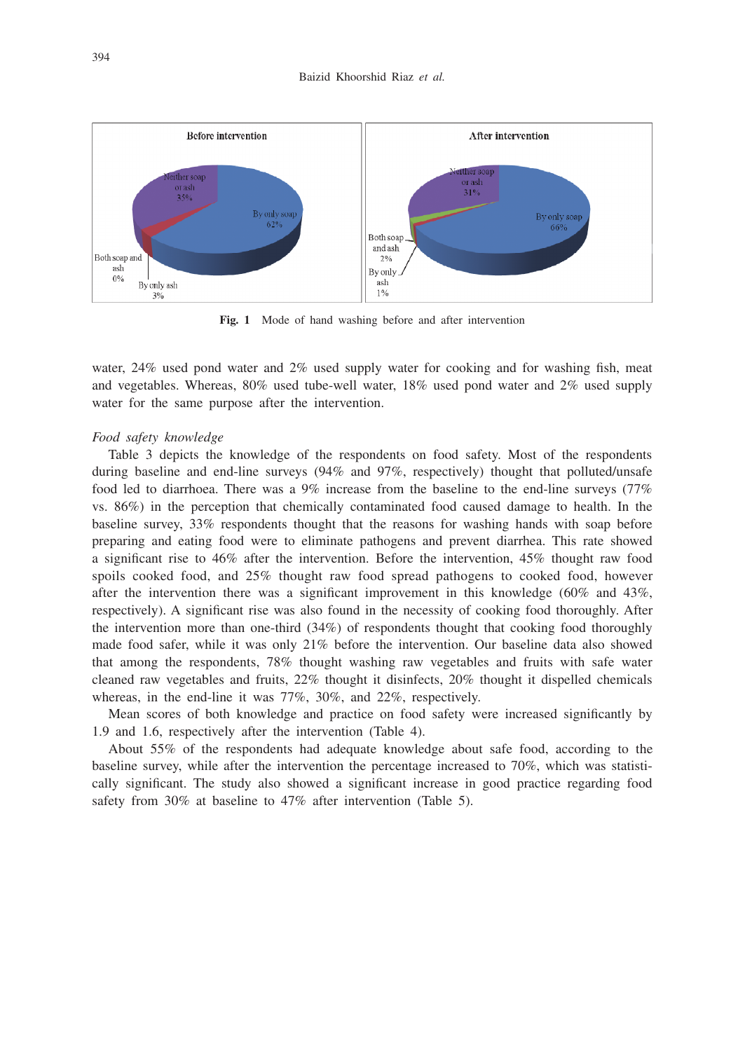

**Fig. 1** Mode of hand washing before and after intervention

water, 24% used pond water and 2% used supply water for cooking and for washing fish, meat and vegetables. Whereas, 80% used tube-well water, 18% used pond water and 2% used supply water for the same purpose after the intervention.

#### *Food safety knowledge*

Table 3 depicts the knowledge of the respondents on food safety. Most of the respondents during baseline and end-line surveys (94% and 97%, respectively) thought that polluted/unsafe food led to diarrhoea. There was a 9% increase from the baseline to the end-line surveys (77% vs. 86%) in the perception that chemically contaminated food caused damage to health. In the baseline survey, 33% respondents thought that the reasons for washing hands with soap before preparing and eating food were to eliminate pathogens and prevent diarrhea. This rate showed a significant rise to 46% after the intervention. Before the intervention, 45% thought raw food spoils cooked food, and 25% thought raw food spread pathogens to cooked food, however after the intervention there was a significant improvement in this knowledge  $(60\%$  and  $43\%$ , respectively). A significant rise was also found in the necessity of cooking food thoroughly. After the intervention more than one-third (34%) of respondents thought that cooking food thoroughly made food safer, while it was only 21% before the intervention. Our baseline data also showed that among the respondents, 78% thought washing raw vegetables and fruits with safe water cleaned raw vegetables and fruits, 22% thought it disinfects, 20% thought it dispelled chemicals whereas, in the end-line it was 77%, 30%, and 22%, respectively.

Mean scores of both knowledge and practice on food safety were increased significantly by 1.9 and 1.6, respectively after the intervention (Table 4).

About 55% of the respondents had adequate knowledge about safe food, according to the baseline survey, while after the intervention the percentage increased to 70%, which was statistically significant. The study also showed a significant increase in good practice regarding food safety from 30% at baseline to 47% after intervention (Table 5).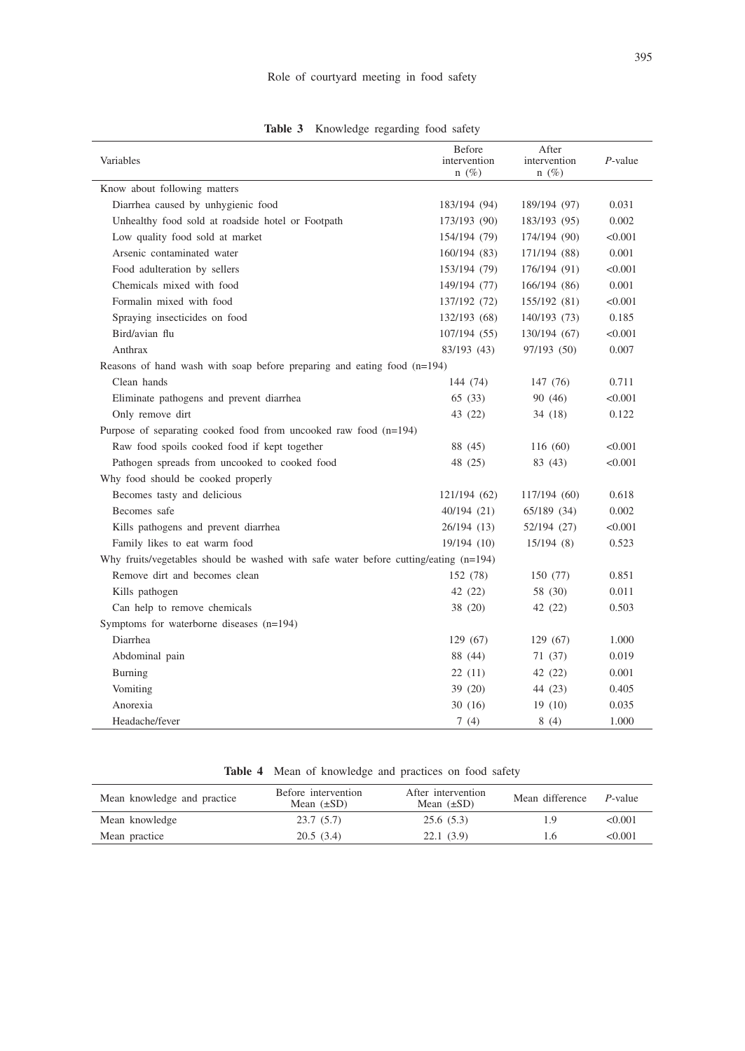| Variables                                                                              | Before<br>intervention<br>$n(\%)$ | After<br>intervention<br>$n(\%)$ | $P$ -value |
|----------------------------------------------------------------------------------------|-----------------------------------|----------------------------------|------------|
| Know about following matters                                                           |                                   |                                  |            |
| Diarrhea caused by unhygienic food                                                     | 183/194 (94)                      | 189/194 (97)                     | 0.031      |
| Unhealthy food sold at roadside hotel or Footpath                                      | 173/193 (90)                      | 183/193 (95)                     | 0.002      |
| Low quality food sold at market                                                        | 154/194 (79)                      | 174/194 (90)                     | < 0.001    |
| Arsenic contaminated water                                                             | 160/194 (83)                      | 171/194 (88)                     | 0.001      |
| Food adulteration by sellers                                                           | 153/194 (79)                      | 176/194 (91)                     | < 0.001    |
| Chemicals mixed with food                                                              | 149/194 (77)                      | 166/194 (86)                     | 0.001      |
| Formalin mixed with food                                                               | 137/192 (72)                      | 155/192 (81)                     | < 0.001    |
| Spraying insecticides on food                                                          | 132/193 (68)                      | 140/193 (73)                     | 0.185      |
| Bird/avian flu                                                                         | 107/194 (55)                      | 130/194 (67)                     | < 0.001    |
| Anthrax                                                                                | 83/193 (43)                       | 97/193 (50)                      | 0.007      |
| Reasons of hand wash with soap before preparing and eating food $(n=194)$              |                                   |                                  |            |
| Clean hands                                                                            | 144 (74)                          | 147 (76)                         | 0.711      |
| Eliminate pathogens and prevent diarrhea                                               | 65(33)                            | 90 (46)                          | < 0.001    |
| Only remove dirt                                                                       | 43 (22)                           | 34 (18)                          | 0.122      |
| Purpose of separating cooked food from uncooked raw food $(n=194)$                     |                                   |                                  |            |
| Raw food spoils cooked food if kept together                                           | 88 (45)                           | 116 (60)                         | < 0.001    |
| Pathogen spreads from uncooked to cooked food                                          | 48 (25)                           | 83 (43)                          | < 0.001    |
| Why food should be cooked properly                                                     |                                   |                                  |            |
| Becomes tasty and delicious                                                            | 121/194 (62)                      | 117/194 (60)                     | 0.618      |
| Becomes safe                                                                           | 40/194 (21)                       | 65/189 (34)                      | 0.002      |
| Kills pathogens and prevent diarrhea                                                   | 26/194 (13)                       | 52/194 (27)                      | < 0.001    |
| Family likes to eat warm food                                                          | 19/194 (10)                       | 15/194(8)                        | 0.523      |
| Why fruits/vegetables should be washed with safe water before cutting/eating $(n=194)$ |                                   |                                  |            |
| Remove dirt and becomes clean                                                          | 152 (78)                          | 150 (77)                         | 0.851      |
| Kills pathogen                                                                         | 42 (22)                           | 58 (30)                          | 0.011      |
| Can help to remove chemicals                                                           | 38 (20)                           | 42 (22)                          | 0.503      |
| Symptoms for waterborne diseases (n=194)                                               |                                   |                                  |            |
| Diarrhea                                                                               | 129 (67)                          | 129(67)                          | 1.000      |
| Abdominal pain                                                                         | 88 (44)                           | 71 (37)                          | 0.019      |
| Burning                                                                                | 22(11)                            | 42 (22)                          | 0.001      |
| Vomiting                                                                               | 39 (20)                           | 44 (23)                          | 0.405      |
| Anorexia                                                                               | 30(16)                            | 19(10)                           | 0.035      |
| Headache/fever                                                                         | 7(4)                              | 8(4)                             | 1.000      |

**Table 3** Knowledge regarding food safety

|  | <b>Table 4</b> Mean of knowledge and practices on food safety |  |  |  |
|--|---------------------------------------------------------------|--|--|--|

| Mean knowledge and practice | Before intervention<br>Mean $(\pm SD)$ | After intervention<br>Mean $(\pm SD)$ | Mean difference | $P$ -value |
|-----------------------------|----------------------------------------|---------------------------------------|-----------------|------------|
| Mean knowledge              | 23.7(5.7)                              | 25.6(5.3)                             | 1.9             | < 0.001    |
| Mean practice               | 20.5(3.4)                              | 22.1(3.9)                             | l.6             | < 0.001    |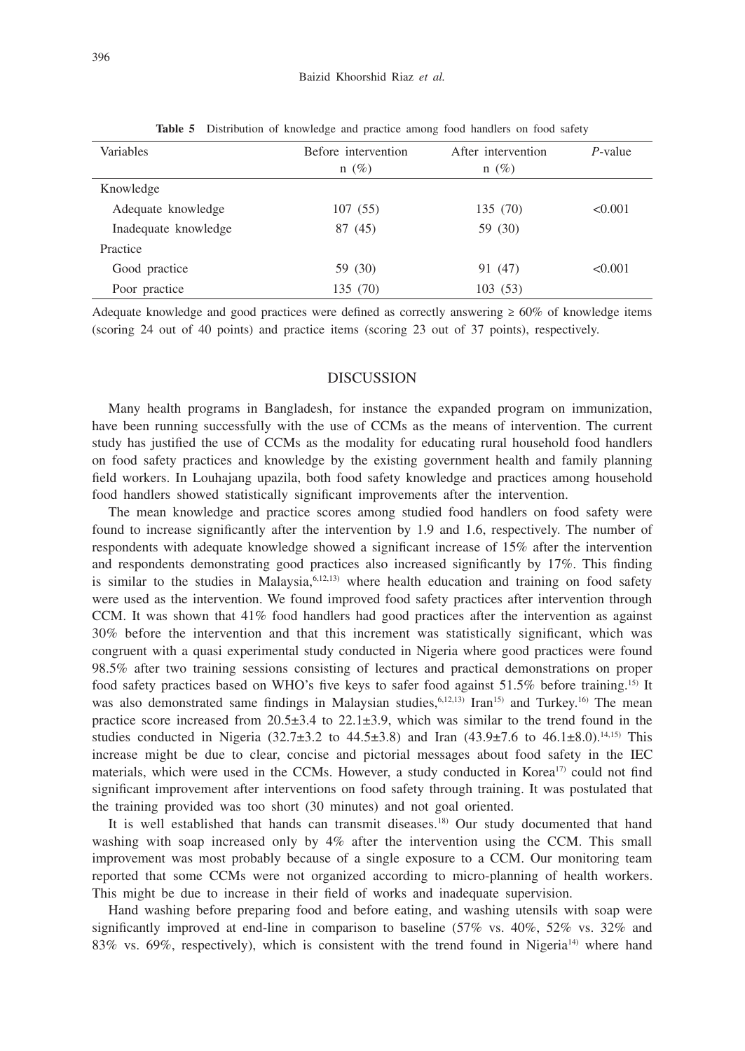| Variables            | Before intervention<br>$n(\%)$ | After intervention<br>$n(\%)$ | $P$ -value |
|----------------------|--------------------------------|-------------------------------|------------|
| Knowledge            |                                |                               |            |
| Adequate knowledge   | 107(55)                        | 135 (70)                      | < 0.001    |
| Inadequate knowledge | 87 (45)                        | 59 (30)                       |            |
| Practice             |                                |                               |            |
| Good practice        | 59 (30)                        | 91 (47)                       | < 0.001    |
| Poor practice        | 135 (70)                       | 103(53)                       |            |

**Table 5** Distribution of knowledge and practice among food handlers on food safety

Adequate knowledge and good practices were defined as correctly answering  $\geq 60\%$  of knowledge items (scoring 24 out of 40 points) and practice items (scoring 23 out of 37 points), respectively.

## DISCUSSION

Many health programs in Bangladesh, for instance the expanded program on immunization, have been running successfully with the use of CCMs as the means of intervention. The current study has justified the use of CCMs as the modality for educating rural household food handlers on food safety practices and knowledge by the existing government health and family planning field workers. In Louhajang upazila, both food safety knowledge and practices among household food handlers showed statistically significant improvements after the intervention.

The mean knowledge and practice scores among studied food handlers on food safety were found to increase significantly after the intervention by 1.9 and 1.6, respectively. The number of respondents with adequate knowledge showed a significant increase of 15% after the intervention and respondents demonstrating good practices also increased significantly by 17%. This finding is similar to the studies in Malaysia,  $6,12,13$  where health education and training on food safety were used as the intervention. We found improved food safety practices after intervention through CCM. It was shown that  $41\%$  food handlers had good practices after the intervention as against 30% before the intervention and that this increment was statistically significant, which was congruent with a quasi experimental study conducted in Nigeria where good practices were found 98.5% after two training sessions consisting of lectures and practical demonstrations on proper food safety practices based on WHO's five keys to safer food against 51.5% before training.15) It was also demonstrated same findings in Malaysian studies, <sup>6,12,13)</sup> Iran<sup>15)</sup> and Turkey.<sup>16)</sup> The mean practice score increased from  $20.5\pm3.4$  to  $22.1\pm3.9$ , which was similar to the trend found in the studies conducted in Nigeria (32.7±3.2 to  $44.5\pm3.8$ ) and Iran (43.9±7.6 to  $46.1\pm8.0$ ).<sup>14,15)</sup> This increase might be due to clear, concise and pictorial messages about food safety in the IEC materials, which were used in the CCMs. However, a study conducted in Korea<sup>17</sup> could not find significant improvement after interventions on food safety through training. It was postulated that the training provided was too short (30 minutes) and not goal oriented.

It is well established that hands can transmit diseases.18) Our study documented that hand washing with soap increased only by 4% after the intervention using the CCM. This small improvement was most probably because of a single exposure to a CCM. Our monitoring team reported that some CCMs were not organized according to micro-planning of health workers. This might be due to increase in their field of works and inadequate supervision.

Hand washing before preparing food and before eating, and washing utensils with soap were significantly improved at end-line in comparison to baseline  $(57\% \text{ vs. } 40\%, 52\% \text{ vs. } 32\% \text{ and } 11\%)$ 83% vs. 69%, respectively), which is consistent with the trend found in Nigeria<sup>14)</sup> where hand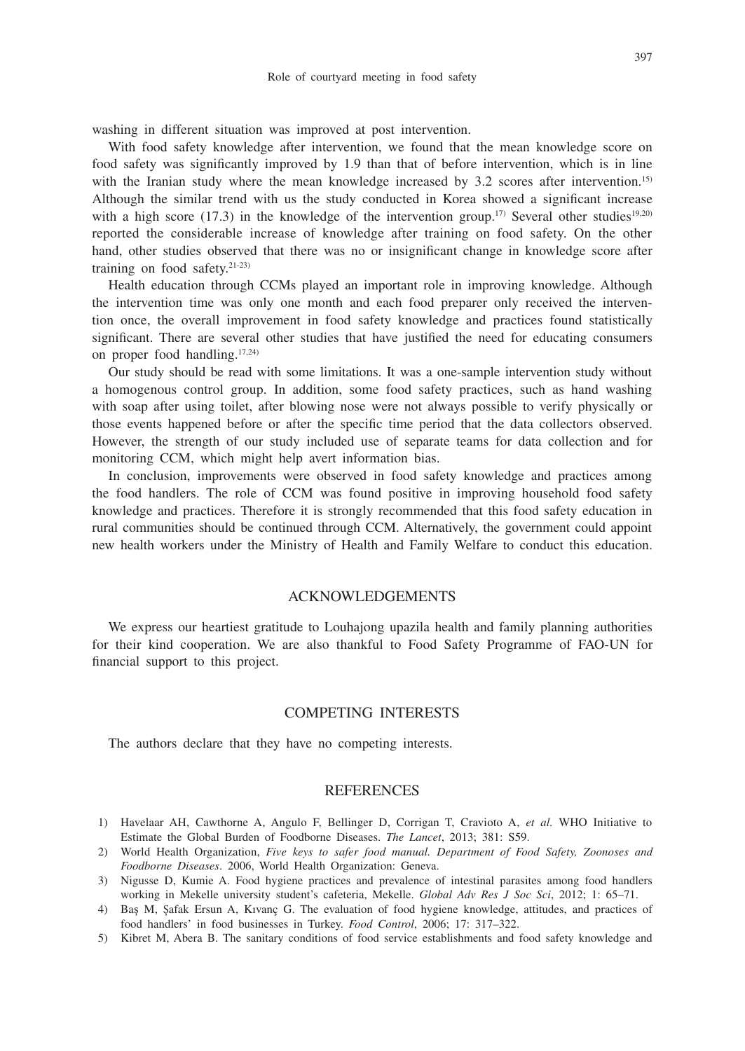washing in different situation was improved at post intervention.

With food safety knowledge after intervention, we found that the mean knowledge score on food safety was significantly improved by 1.9 than that of before intervention, which is in line with the Iranian study where the mean knowledge increased by 3.2 scores after intervention.<sup>15)</sup> Although the similar trend with us the study conducted in Korea showed a significant increase with a high score (17.3) in the knowledge of the intervention group.<sup>17)</sup> Several other studies<sup>19,20)</sup> reported the considerable increase of knowledge after training on food safety. On the other hand, other studies observed that there was no or insignificant change in knowledge score after training on food safety.21-23)

Health education through CCMs played an important role in improving knowledge. Although the intervention time was only one month and each food preparer only received the intervention once, the overall improvement in food safety knowledge and practices found statistically significant. There are several other studies that have justified the need for educating consumers on proper food handling.17,24)

Our study should be read with some limitations. It was a one-sample intervention study without a homogenous control group. In addition, some food safety practices, such as hand washing with soap after using toilet, after blowing nose were not always possible to verify physically or those events happened before or after the specific time period that the data collectors observed. However, the strength of our study included use of separate teams for data collection and for monitoring CCM, which might help avert information bias.

In conclusion, improvements were observed in food safety knowledge and practices among the food handlers. The role of CCM was found positive in improving household food safety knowledge and practices. Therefore it is strongly recommended that this food safety education in rural communities should be continued through CCM. Alternatively, the government could appoint new health workers under the Ministry of Health and Family Welfare to conduct this education.

## ACKNOWLEDGEMENTS

We express our heartiest gratitude to Louhajong upazila health and family planning authorities for their kind cooperation. We are also thankful to Food Safety Programme of FAO-UN for financial support to this project.

# COMPETING INTERESTS

The authors declare that they have no competing interests.

# REFERENCES

- 1) Havelaar AH, Cawthorne A, Angulo F, Bellinger D, Corrigan T, Cravioto A, *et al.* WHO Initiative to Estimate the Global Burden of Foodborne Diseases. *The Lancet*, 2013; 381: S59.
- 2) World Health Organization, *Five keys to safer food manual. Department of Food Safety, Zoonoses and Foodborne Diseases*. 2006, World Health Organization: Geneva.
- 3) Nigusse D, Kumie A. Food hygiene practices and prevalence of intestinal parasites among food handlers working in Mekelle university student's cafeteria, Mekelle. *Global Adv Res J Soc Sci*, 2012; 1: 65–71.
- 4) BaŞ M, Şafak Ersun A, Kıvanç G. The evaluation of food hygiene knowledge, attitudes, and practices of food handlers' in food businesses in Turkey. *Food Control*, 2006; 17: 317–322.
- 5) Kibret M, Abera B. The sanitary conditions of food service establishments and food safety knowledge and